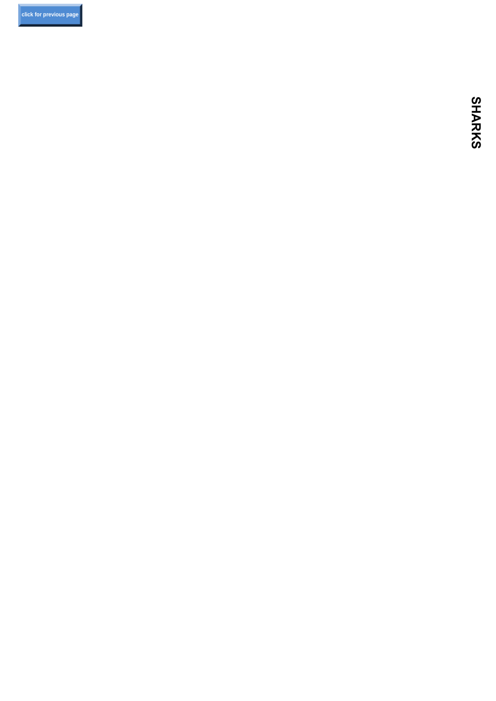**[click for previous page](#page-3-0)**

**SHARKS SHARKS**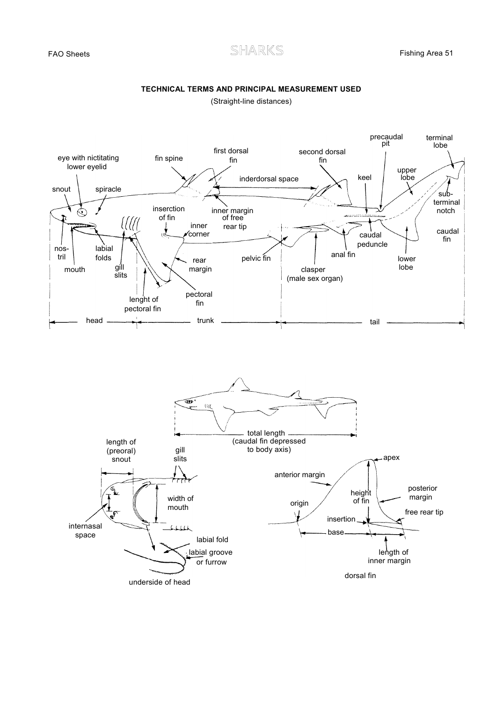## **TECHNICAL TERMS AND PRINCIPAL MEASUREMENT USED**

(Straight-line distances)

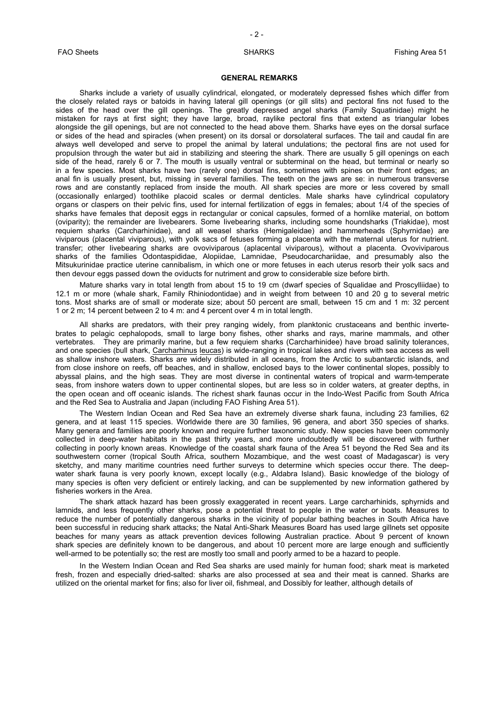## **GENERAL REMARKS**

Sharks include a variety of usually cylindrical, elongated, or moderately depressed fishes which differ from the closely related rays or batoids in having lateral gill openings (or gill slits) and pectoral fins not fused to the sides of the head over the gill openings. The greatly depressed angel sharks (Family Squatinidae) might he mistaken for rays at first sight; they have large, broad, raylike pectoral fins that extend as triangular lobes alongside the gill openings, but are not connected to the head above them. Sharks have eyes on the dorsal surface or sides of the head and spiracles (when present) on its dorsal or dorsolateral surfaces. The tail and caudal fin are always well developed and serve to propel the animal by lateral undulations; the pectoral fins are not used for propulsion through the water but aid in stabilizing and steering the shark. There are usually 5 gill openings on each side of the head, rarely 6 or 7. The mouth is usually ventral or subterminal on the head, but terminal or nearly so in a few species. Most sharks have two (rarely one) dorsal fins, sometimes with spines on their front edges; an anal fin is usually present, but, missing in several families. The teeth on the jaws are se: in numerous transverse rows and are constantly replaced from inside the mouth. All shark species are more or less covered by small (occasionally enlarged) toothlike placoid scales or dermal denticles. Male sharks have cylindrical copulatory organs or claspers on their pelvic fins, used for internal fertilization of eggs in females; about 1/4 of the species of sharks have females that deposit eggs in rectangular or conical capsules, formed of a hornlike material, on bottom (oviparity); the remainder are livebearers. Some Iivebearing sharks, including some houndsharks (Triakidae), most requiem sharks (Carcharhinidae), and all weasel sharks (Hemigaleidae) and hammerheads (Sphyrnidae) are viviparous (placental viviparous), with yolk sacs of fetuses forming a placenta with the maternal uterus for nutrient. transfer; other Iivebearing sharks are ovoviviparous (aplacental viviparous), without a placenta. Ovoviviparous sharks of the families Odontaspididae, Alopiidae, Lamnidae, Pseudocarchariidae, and presumably also the Mitsukurinidae practice uterine cannibalism, in which one or more fetuses in each uterus resorb their yolk sacs and then devour eggs passed down the oviducts for nutriment and grow to considerable size before birth.

Mature sharks vary in total length from about 15 to 19 cm (dwarf species of Squalidae and Proscylliidae) to 12.1 m or more (whale shark, Family Rhiniodontidae) and in weight from between 10 and 20 g to several metric tons. Most sharks are of small or moderate size; about 50 percent are small, between 15 cm and 1 m: 32 percent 1 or 2 m; 14 percent between 2 to 4 m: and 4 percent over 4 m in total length.

All sharks are predators, with their prey ranging widely, from planktonic crustaceans and benthic invertebrates to pelagic cephalopods, small to large bony fishes, other sharks and rays, marine mammals, and other vertebrates. They are primarily marine, but a few requiem sharks (Carcharhinidee) have broad salinity tolerances, and one species (bull shark, Carcharhinus leucas) is wide-ranging in tropical lakes and rivers with sea access as well as shallow inshore waters. Sharks are widely distributed in all oceans, from the Arctic to subantarctic islands, and from close inshore on reefs, off beaches, and in shallow, enclosed bays to the lower continental slopes, possibly to abyssal plains, and the high seas. They are most diverse in continental waters of tropical and warm-temperate seas, from inshore waters down to upper continental slopes, but are less so in colder waters, at greater depths, in the open ocean and off oceanic islands. The richest shark faunas occur in the Indo-West Pacific from South Africa and the Red Sea to Australia and Japan (including FAO Fishing Area 51).

The Western Indian Ocean and Red Sea have an extremely diverse shark fauna, including 23 families, 62 genera, and at least 115 species. Worldwide there are 30 families, 96 genera, and abort 350 species of sharks. Many genera and families are poorly known and require further taxonomic study. New species have been commonly collected in deep-water habitats in the past thirty years, and more undoubtedly will be discovered with further collecting in poorly known areas. Knowledge of the coastal shark fauna of the Area 51 beyond the Red Sea and its southwestern corner (tropical South Africa, southern Mozambique, and the west coast of Madagascar) is very sketchy, and many maritime countries need further surveys to determine which species occur there. The deepwater shark fauna is very poorly known, except locally (e.g., Aldabra Island). Basic knowledge of the biology of many species is often very deficient or entirely lacking, and can be supplemented by new information gathered by fisheries workers in the Area.

The shark attack hazard has been grossly exaggerated in recent years. Large carcharhinids, sphyrnids and lamnids, and less frequently other sharks, pose a potential threat to people in the water or boats. Measures to reduce the number of potentially dangerous sharks in the vicinity of popular bathing beaches in South Africa have been successful in reducing shark attacks; the Natal Anti-Shark Measures Board has used large gillnets set opposite beaches for many years as attack prevention devices following Australian practice. About 9 percent of known shark species are definitely known to be dangerous, and about 10 percent more are large enough and sufficiently well-armed to be potentially so; the rest are mostly too small and poorly armed to be a hazard to people.

In the Western Indian Ocean and Red Sea sharks are used mainly for human food; shark meat is marketed fresh, frozen and especially dried-salted: sharks are also processed at sea and their meat is canned. Sharks are utilized on the oriental market for fins; also for liver oil, fishmeal, and Dossibly for leather, although details of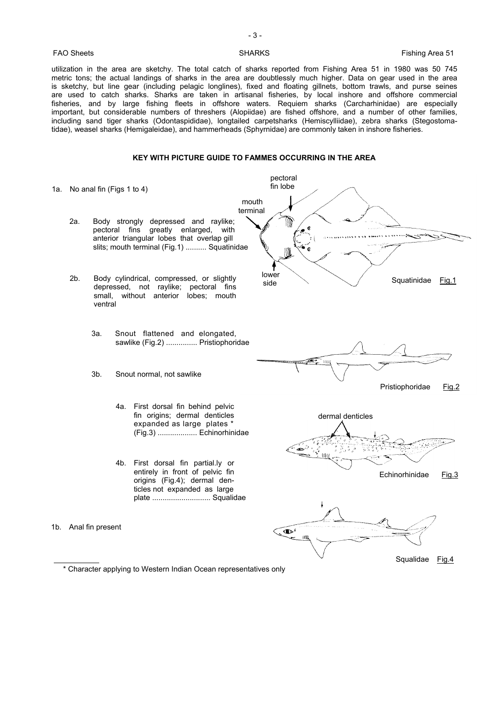- 3 -

<span id="page-3-0"></span>FAO Sheets **Fishing Area 51** SHARKS **Fishing Area 51** 

utilization in the area are sketchy. The total catch of sharks reported from Fishing Area 51 in 1980 was 50 745 metric tons; the actual landings of sharks in the area are doubtlessly much higher. Data on gear used in the area is sketchy, but line gear (including pelagic longlines), fixed and floating gillnets, bottom trawls, and purse seines are used to catch sharks. Sharks are taken in artisanal fisheries, by local inshore and offshore commercial fisheries, and by large fishing fleets in offshore waters. Requiem sharks (Carcharhinidae) are especially important, but considerable numbers of threshers (Alopiidae) are fished offshore, and a number of other families, including sand tiger sharks (Odontaspididae), longtailed carpetsharks (Hemiscylliidae), zebra sharks (Stegostomatidae), weasel sharks (Hemigaleidae), and hammerheads (Sphyrnidae) are commonly taken in inshore fisheries.

## **KEY WITH PICTURE GUIDE TO FAMMES OCCURRING IN THE AREA**

pectoral fin lobe 1a. No anal fin (Figs 1 to 4) mouth terminal 2a. Body strongly depressed and raylike; pectoral fins greatly enlarged, with سوسىن anterior triangular lobes that overlap gill slits; mouth terminal (Fig.1) .......... Squatinidae lower 2b. Body cylindrical, compressed, or slightly Squatinidae Fig.1 sidedepressed, not raylike; pectoral fins small, without anterior lobes; mouth ventral 3a. Snout flattened and elongated, sawlike (Fig.2) ............... Pristiophoridae 3b. Snout normal, not sawlike Pristiophoridae Fig.2 4a. First dorsal fin behind pelvic fin origins; dermal denticles dermal denticles expanded as large plates \* (Fig.3) ................... Echinorhinidae 4b. First dorsal fin partial.ly or entirely in front of pelvic fin Echinorhinidae Fig.3 origins (Fig.4); dermal denticles not expanded as large plate ............................ Squalidae 1b. Anal fin present  $\mathbf{D}^t$ пØ Squalidae Fig.4

<sup>\*</sup> Character applying to Western Indian Ocean representatives only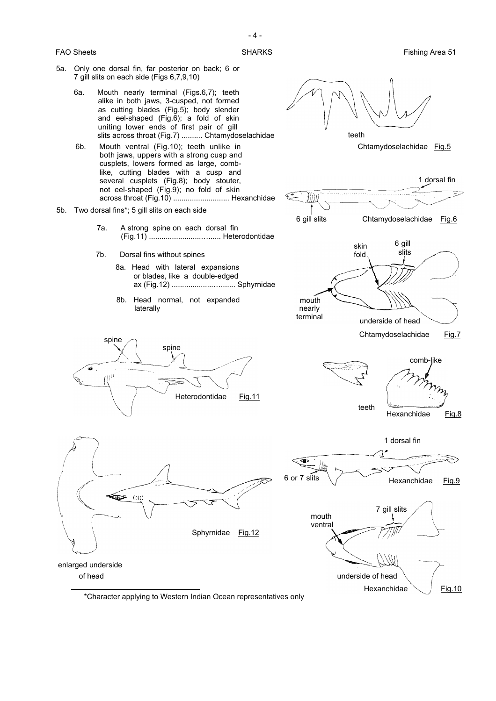

\*Character applying to Western Indian Ocean representatives only

- 4 -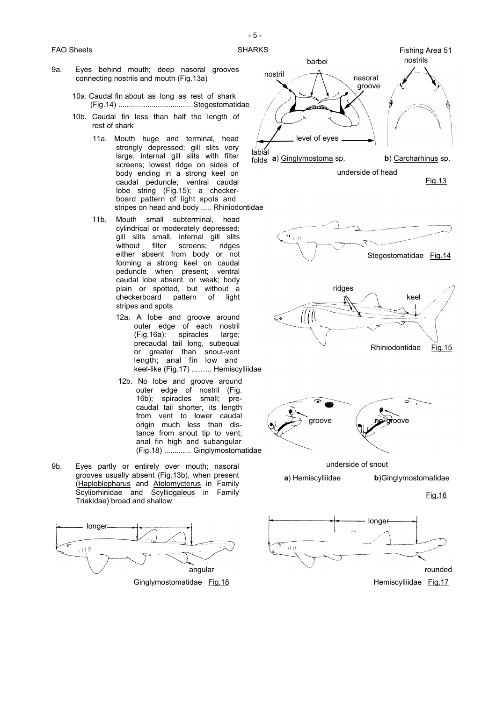- 9a. Eyes behind mouth; deep nasoral grooves connecting nostrils and mouth (Fig.13a)
	- 10a. Caudal fin about as long as rest of shark (Fig.14) ................................... Stegostomatidae
	- 10b. Caudal fin less than half the length of rest of shark
		- 11a. Mouth huge and terminal, head strongly depressed; gill slits very large, internal gill slits with filter screens; lowest ridge on sides of body ending in a strong keel on caudal peduncle; ventral caudal lobe string (Fig.15); a checkerboard pattern of light spots and stripes on head and body ..... Rhiniodontidae
		- 11b. Mouth small subterminal, head cylindrical or moderately depressed; gill slits small, internal gill slits without filter screens: ridges either absent from body or not forming a strong keel on caudal peduncle when present; ventral caudal lobe absent. or weak; body plain or spotted, but without a checkerboard pattern of light stripes and spots
			- 12a. A lobe and groove around outer edge of each nostril (Fig.16a); spiracles large; precaudal tail long, subequal or greater than snout-vent length; anal fin low and keel-like (Fig.17) ...…... Hemiscylliidae
			- 12b. No lobe and groove around outer edge of nostril (Fig. 16b); spiracles small; precaudal tail shorter, its length from vent to lower caudal origin much less than distance from snout tip to vent; anal fin high and subangular (Fig.18) ............. Ginglymostomatidae
- 9b. Eyes partly or entirely over mouth; nasoral grooves usually absent (Fig.13b), when present (Haploblepharus and Atelomycterus in Family Scyliorhinidae and Scylliogaleus in Family Triakidae) broad and shallow





underside of head

Fig.13







underside of snout

**a**) Hemiscylliidae **b**)Ginglymostomatidae



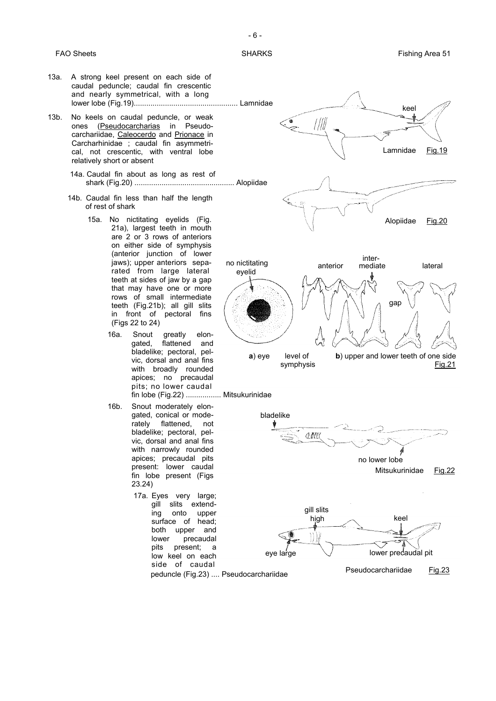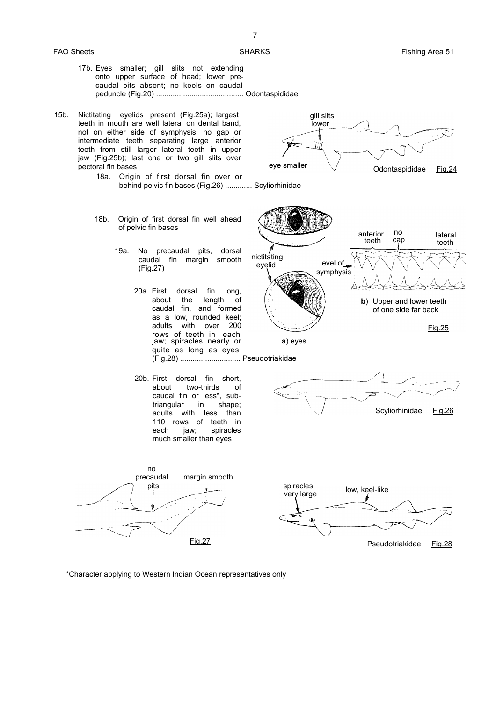

\*Character applying to Western Indian Ocean representatives only